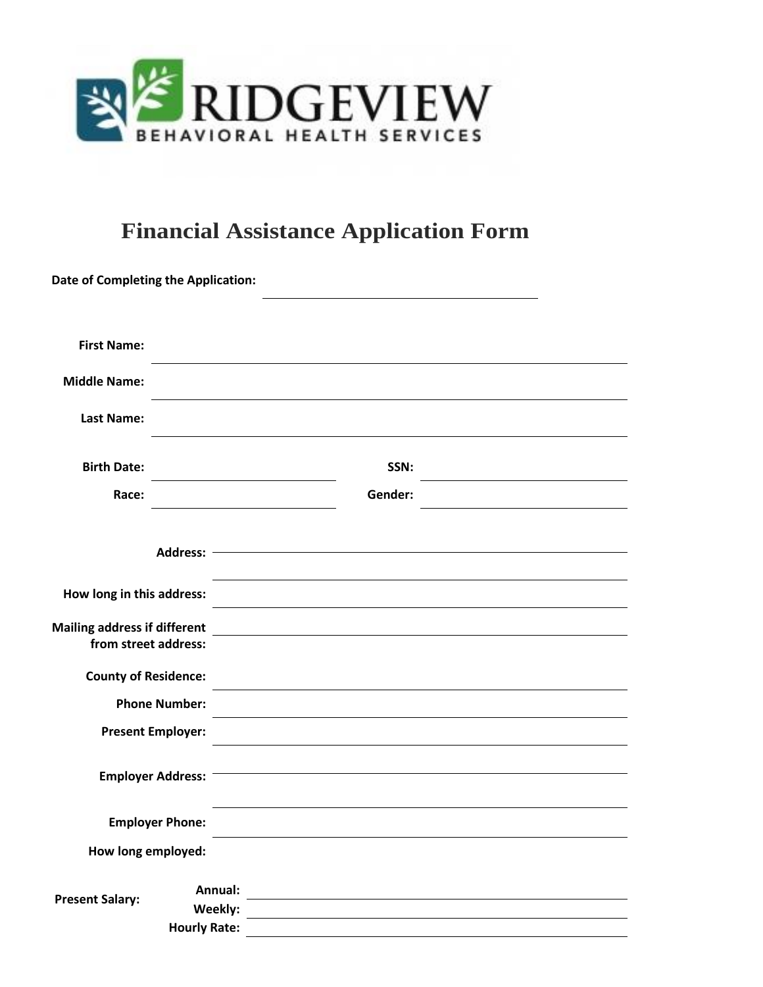

# **Financial Assistance Application Form**

|                                                             | <b>Date of Completing the Application:</b> |                                                            |  |
|-------------------------------------------------------------|--------------------------------------------|------------------------------------------------------------|--|
| <b>First Name:</b>                                          |                                            |                                                            |  |
| <b>Middle Name:</b>                                         |                                            |                                                            |  |
| <b>Last Name:</b>                                           |                                            |                                                            |  |
| <b>Birth Date:</b>                                          |                                            | SSN:                                                       |  |
| Race:                                                       |                                            | Gender:                                                    |  |
|                                                             |                                            |                                                            |  |
| How long in this address:                                   |                                            |                                                            |  |
| <b>Mailing address if different</b><br>from street address: |                                            | <u> 1989 - John Stein, amerikansk politiker (</u>          |  |
| <b>County of Residence:</b>                                 |                                            |                                                            |  |
| <b>Phone Number:</b>                                        |                                            |                                                            |  |
| <b>Present Employer:</b>                                    |                                            |                                                            |  |
|                                                             | Employer Address: -                        | <u> 1989 - Johann Barn, amerikansk politiker (d. 1989)</u> |  |
|                                                             | <b>Employer Phone:</b>                     |                                                            |  |
| How long employed:                                          |                                            |                                                            |  |
| <b>Present Salary:</b>                                      | Annual:                                    |                                                            |  |
|                                                             | Weekly:<br><b>Hourly Rate:</b>             |                                                            |  |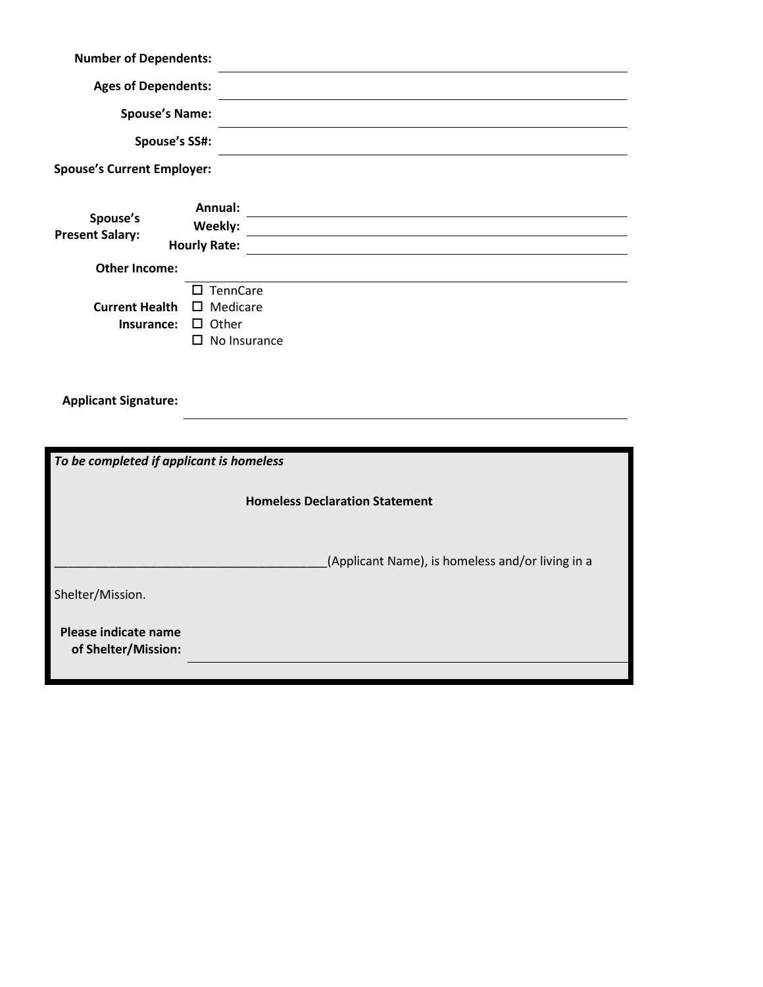| <b>Number of Dependents:</b>                |                                                                                    |  |  |  |
|---------------------------------------------|------------------------------------------------------------------------------------|--|--|--|
| <b>Ages of Dependents:</b>                  |                                                                                    |  |  |  |
| <b>Spouse's Name:</b>                       |                                                                                    |  |  |  |
| Spouse's SS#:                               |                                                                                    |  |  |  |
| <b>Spouse's Current Employer:</b>           |                                                                                    |  |  |  |
| Spouse's<br><b>Present Salary:</b>          | Annual:<br>Weekly:<br><b>Hourly Rate:</b>                                          |  |  |  |
| <b>Other Income:</b>                        |                                                                                    |  |  |  |
| <b>Current Health</b><br>Insurance:         | $\square$ TennCare<br>$\square$ Medicare<br>$\Box$ Other<br>$\square$ No Insurance |  |  |  |
| <b>Applicant Signature:</b>                 |                                                                                    |  |  |  |
|                                             |                                                                                    |  |  |  |
| To be completed if applicant is homeless    |                                                                                    |  |  |  |
| <b>Homeless Declaration Statement</b>       |                                                                                    |  |  |  |
|                                             | (Applicant Name), is homeless and/or living in a                                   |  |  |  |
| Shelter/Mission.                            |                                                                                    |  |  |  |
| Please indicate name<br>of Shelter/Mission: |                                                                                    |  |  |  |